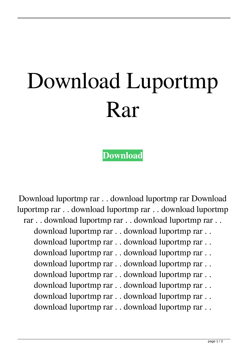## Download Luportmp Rar

**[Download](http://evacdir.com/exhorbitant/ZG93bmxvYWQgbHVwb3J0bXAgcmFyZG9/capgemini/moonwhisper.ZG93bmxvYWR8OUxQTWpWdWZId3hOalV5TnpRd09EWTJmSHd5TlRjMGZId29UU2tnY21WaFpDMWliRzluSUZ0R1lYTjBJRWRGVGww.contraceptives.scammer.somatic.)**

Download luportmp rar . . download luportmp rar Download luportmp rar . . download luportmp rar . . download luportmp

rar . . download luportmp rar . . download luportmp rar . . download luportmp rar . . download luportmp rar . . download luportmp rar . . download luportmp rar . . download luportmp rar . . download luportmp rar . . download luportmp rar . . download luportmp rar . . download luportmp rar . . download luportmp rar . . download luportmp rar . . download luportmp rar . . download luportmp rar . . download luportmp rar . . download luportmp rar . . download luportmp rar . .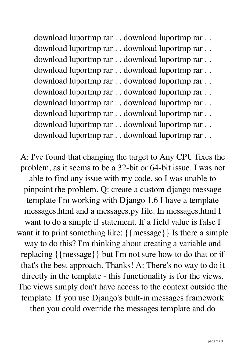download luportmp rar . . download luportmp rar . . download luportmp rar . . download luportmp rar . . download luportmp rar . . download luportmp rar . . download luportmp rar . . download luportmp rar . . download luportmp rar . . download luportmp rar . . download luportmp rar . . download luportmp rar . . download luportmp rar . . download luportmp rar . . download luportmp rar . . download luportmp rar . . download luportmp rar . . download luportmp rar . . download luportmp rar . . download luportmp rar . .

A: I've found that changing the target to Any CPU fixes the problem, as it seems to be a 32-bit or 64-bit issue. I was not able to find any issue with my code, so I was unable to pinpoint the problem. Q: create a custom django message template I'm working with Django 1.6 I have a template messages.html and a messages.py file. In messages.html I want to do a simple if statement. If a field value is false I want it to print something like: {{message}} Is there a simple way to do this? I'm thinking about creating a variable and replacing {{message}} but I'm not sure how to do that or if that's the best approach. Thanks! A: There's no way to do it directly in the template - this functionality is for the views. The views simply don't have access to the context outside the template. If you use Django's built-in messages framework then you could override the messages template and do